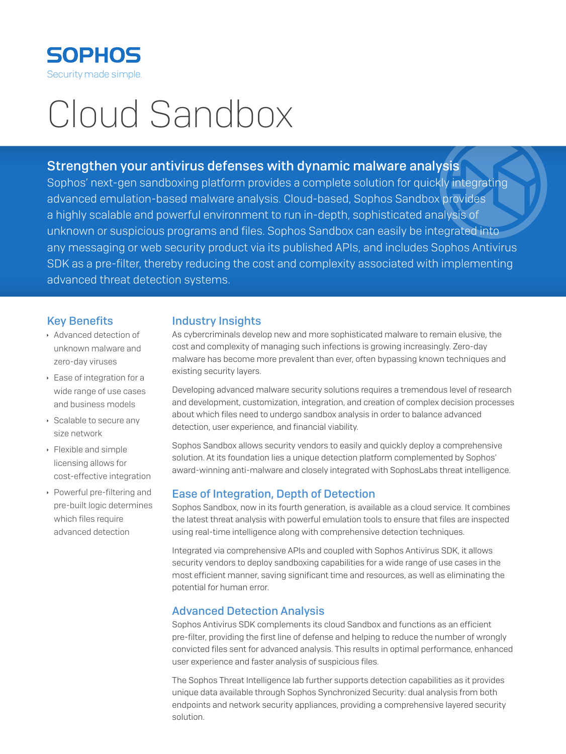

# Cloud Sandbox

#### Strengthen your antivirus defenses with dynamic malware analysis

Sophos' next-gen sandboxing platform provides a complete solution for quickly integrating advanced emulation-based malware analysis. Cloud-based, Sophos Sandbox provides a highly scalable and powerful environment to run in-depth, sophisticated analysis of unknown or suspicious programs and files. Sophos Sandbox can easily be integrated into any messaging or web security product via its published APIs, and includes Sophos Antivirus SDK as a pre-filter, thereby reducing the cost and complexity associated with implementing advanced threat detection systems.

#### Key Benefits

- **Advanced detection of** unknown malware and zero-day viruses
- $\cdot$  Ease of integration for a wide range of use cases and business models
- Scalable to secure any size network
- $\cdot$  Flexible and simple licensing allows for cost-effective integration
- **Powerful pre-filtering and** pre-built logic determines which files require advanced detection

#### Industry Insights

As cybercriminals develop new and more sophisticated malware to remain elusive, the cost and complexity of managing such infections is growing increasingly. Zero-day malware has become more prevalent than ever, often bypassing known techniques and existing security layers.

Developing advanced malware security solutions requires a tremendous level of research and development, customization, integration, and creation of complex decision processes about which files need to undergo sandbox analysis in order to balance advanced detection, user experience, and financial viability.

Sophos Sandbox allows security vendors to easily and quickly deploy a comprehensive solution. At its foundation lies a unique detection platform complemented by Sophos' award-winning anti-malware and closely integrated with SophosLabs threat intelligence.

#### Ease of Integration, Depth of Detection

Sophos Sandbox, now in its fourth generation, is available as a cloud service. It combines the latest threat analysis with powerful emulation tools to ensure that files are inspected using real-time intelligence along with comprehensive detection techniques.

Integrated via comprehensive APIs and coupled with Sophos Antivirus SDK, it allows security vendors to deploy sandboxing capabilities for a wide range of use cases in the most efficient manner, saving significant time and resources, as well as eliminating the potential for human error.

#### Advanced Detection Analysis

Sophos Antivirus SDK complements its cloud Sandbox and functions as an efficient pre-filter, providing the first line of defense and helping to reduce the number of wrongly convicted files sent for advanced analysis. This results in optimal performance, enhanced user experience and faster analysis of suspicious files.

The Sophos Threat Intelligence lab further supports detection capabilities as it provides unique data available through Sophos Synchronized Security: dual analysis from both endpoints and network security appliances, providing a comprehensive layered security solution.